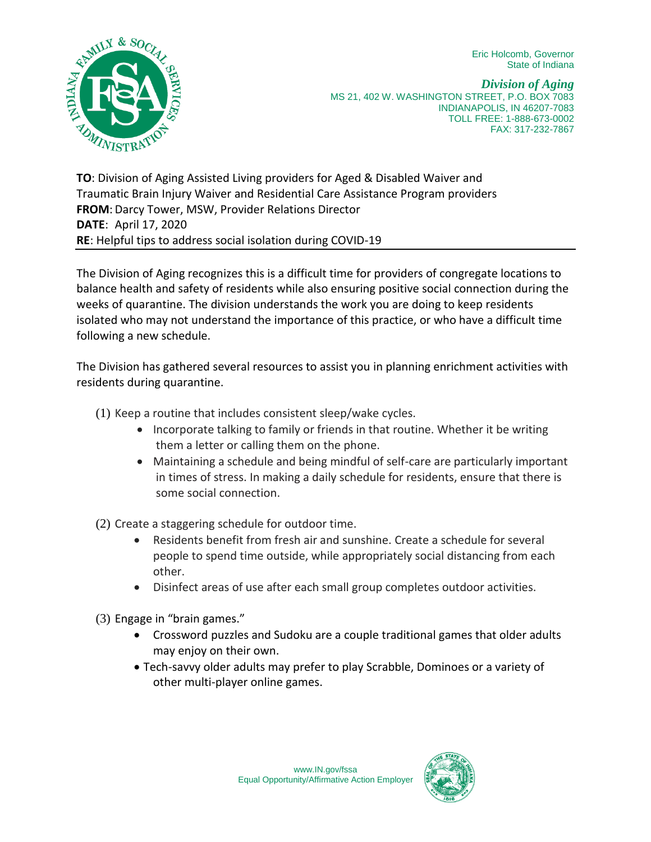Eric Holcomb, Governor State of Indiana



*Division of Aging* MS 21, 402 W. WASHINGTON STREET, P.O. BOX 7083 INDIANAPOLIS, IN 46207-7083 TOLL FREE: 1-888-673-0002 FAX: 317-232-7867

**TO**: Division of Aging Assisted Living providers for Aged & Disabled Waiver and Traumatic Brain Injury Waiver and Residential Care Assistance Program providers **FROM**: Darcy Tower, MSW, Provider Relations Director **DATE**: April 17, 2020 **RE**: Helpful tips to address social isolation during COVID-19

The Division of Aging recognizes this is a difficult time for providers of congregate locations to balance health and safety of residents while also ensuring positive social connection during the weeks of quarantine. The division understands the work you are doing to keep residents isolated who may not understand the importance of this practice, or who have a difficult time following a new schedule.

The Division has gathered several resources to assist you in planning enrichment activities with residents during quarantine.

- (1) Keep a routine that includes consistent sleep/wake cycles.
	- Incorporate talking to family or friends in that routine. Whether it be writing them a letter or calling them on the phone.
	- Maintaining a schedule and being mindful of self-care are particularly important in times of stress. In making a daily schedule for residents, ensure that there is some social connection.

(2) Create a staggering schedule for outdoor time.

- Residents benefit from fresh air and sunshine. Create a schedule for several people to spend time outside, while appropriately social distancing from each other.
- Disinfect areas of use after each small group completes outdoor activities.
- (3) Engage in "brain games."
	- Crossword puzzles and Sudoku are a couple traditional games that older adults may enjoy on their own.
	- Tech-savvy older adults may prefer to play Scrabble, Dominoes or a variety of other multi-player online games.